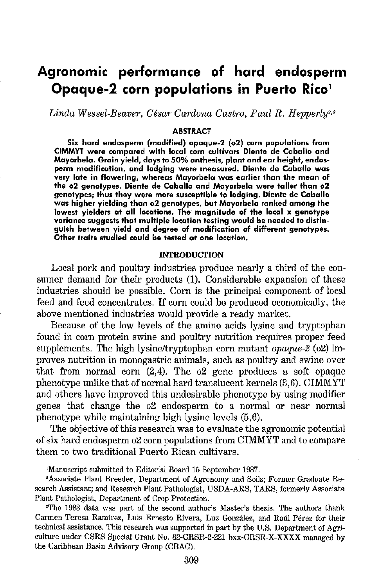# **Agronomic performance of hard endosperm Opaque-2 corn populations in Puerto Rico'**

Linda Wessel-Beaver, César Cardona Castro, Paul R. Hepperly<sup>2,3</sup>

#### **ABSTRACT**

**Six hard endosperm (modified) opaque-2 (o2) corn populations from CIMMYT were compared with local corn cultivars Diente de Caballo and Mayorbela. Grain yield, days to 50% anthesis, plant and ear height, endosperm modification, and lodging were measured. Diente de Caballo was very late in flowering, whereas Mayorbela was earlier than the mean of the o2 genotypes, Diente de Caballo and Mayorbela were taller than o2 genotypes; thus they were more susceptible to lodging. Diente de Caballo was higher yielding than o2 genotypes, but Mayorbela ranked among the lowest yielders at all locations. The· magnitude of the local x genotype variance suggests that multiple location testing would be needed to distinguish between yield and degree of modification of different genotypes. Other traits studied could be tested at one location.** 

#### INTRODUCTION

Local pork and poultry industries produce nearly a third of the consumer demand for their products (1). Considerable expansion of these industries should be possible. Corn is the principal component of local feed and feed concentrates. If corn could be produced economically, the above mentioned industries would provide a ready market.

Because of the low levels of the amino acids lysine and tryptophan found in corn protein swine and poultry nutrition requires proper feed supplements. The high lysine/tryptophan corn mutant *opaque-2* (o2) improves nutrition in monogastric animals, such as poultry and swine over that from normal corn (2,4). The o2 gene produces a soft opaque phenotype unlike that of normal hard translucent kernels (3,6). CIMMYT and others have improved this undesirable phenotype by using modifier genes that change the o2 endosperm to a normal or near normal phenotype while maintaining high lysine levels (5,6).

The objective of this research was to evaluate the agronomic potential of six hard endosperm o2 corn populations from CIMMYT and to compare them to two traditional Puerto Rican cultivars.

1 Manuscript submitted to Editorial Board 15 September 1987. 2

Associate Plant Breeder, Department of Agronomy and Soils; Fonner Graduate Research Assistant; and Research Plant Pathologist, USDA-ARS, TARS, formerly Associate Plant Pathologist, Department of Crop Protection.

~The 1983 data was part of the second author's Master's thesis. The authors thank Carmen Teresa Ramírez, Luis Ernesto Rivera, Luz González, and Raúl Pérez for their technical assistance. This research was supported in part by the U.S. Department of Agriculture under CSRS Special Grant No. 82-CRSR-2-221 bxx-CRSR-X-XXXX managed by the Caribbean Basin Advisory Group (CBAG).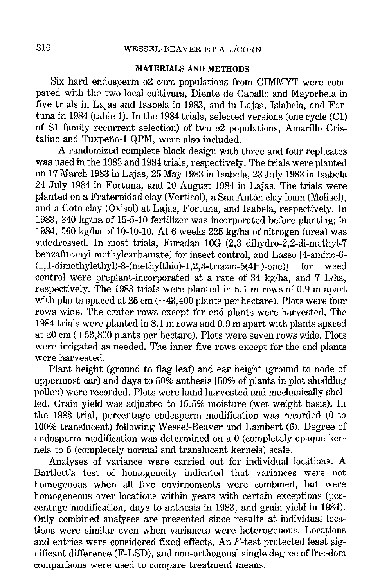### MATERIALS AND METHODS

Six hard endosperm o2 corn populations from CIMMYT were compared with the two local cultivars, Diente de Caballo and Mayorbela in five trials in Lajas and Isabela in 1983, and in Lajas, Islabela, and Fortuna in 1984 (table 1). In the 1984 trials, selected versions (one cycle (Cl) of S1 family recurrent selection) of two  $62$  populations, Amarillo Cristalino and Tuxpeño-1 QPM, were also included.

A randomized complete block design with three and four replicates was used in the 1983 and 1984 trials, respectively. The trials were planted on 17 March 1983 in Lajas, 25 May 1983 in Isabela, 23 July 1983 in Isabela 24 July 1984 in Fortuna, and 10 August 1984 in Lajas. The trials were planted on a Fraternidad clay (Vertisol), a San Anton clay loam (Molisol), and a Coto clay (Oxisol) at Lajas, Fortuna, and Isabela, respectively. In 1983, 340 kg/ha of 15-5-10 fertilizer was incorporated before planting; in 1984, 560 kg/ha of 10-10-10. At 6 weeks 225 kg/ha of nitrogen (urea) was sidedressed. In most trials, Furadan lOG (2,3 dihydro-2,2-di-methyl-7 benzafuranyl methylcarbamate) for insect control, and Lasso [4-amino-6-  $(1, 1$ -dimethylethyl)-3-(methylthio)-1,2,3-triazin-5(4H)-one)] for weed control were preplant-incorporated at a rate of 34 kg/ha, and 7 L/ha, respectively. The 1983 trials were planted in 5.1 m rows of 0.9 m apart with plants spaced at  $25 \text{ cm}$  ( $+43,400 \text{ plants per hectare}$ ). Plots were four rows wide. The center rows except for end plants were harvested. The 1984 trials were planted in 8.1 m rows and 0.9 m apart with plants spaced at 20 em ( +53,800 plants per hectare). Plots were seven rows wide. Plots were irrigated as needed. The inner five rows except for the end plants were harvested.

Plant height (ground to flag leaf) and ear height (ground to node of uppermost ear) and days to  $50\%$  anthesis [ $50\%$  of plants in plot shedding pollen) were recorded. Plots were hand harvested and mechanically shelled. Grain yield was adjusted to 15.5% moisture (wet weight basis). In the  $1983$  trial, percentage endosperm modification was recorded (0 to 100% translucent) following Wessel-Beaver and Lambert (6). Degree of endosperm modification was determined on a 0 (completely opaque kernels to 5 (completely normal and translucent kernels) scale.

Analyses of variance were carried out for individual locations. A Bartlett's test of homogeneity indicated that variances were not homogenous when all five envirnoments were combined, but were homogeneous over locations within years with certain exceptions (percentage modification, days to anthesis in 1983, and grain yield in 1984). Only combined analyses are presented since results at individual locations were similar even when variances were heterogenous. Locations and entries were considered fixed effects. An F -test protected least significant difference (F-LSD), and non-orthogonal single degree of freedom comparisons were used to compare treatment means.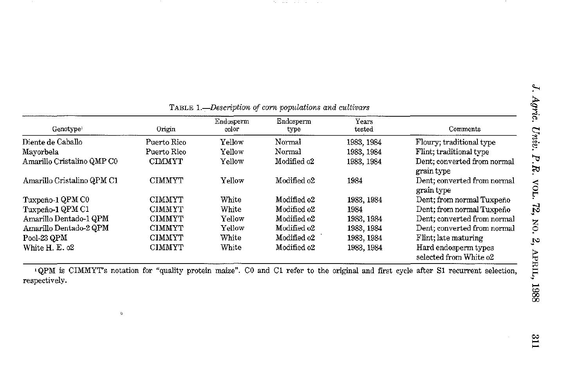| Genotype <sup>1</sup>      | Origin        | Endosperm<br>color | Endosperm<br>type | Years<br>tested | Comments                                       |
|----------------------------|---------------|--------------------|-------------------|-----------------|------------------------------------------------|
| Diente de Caballo          | Puerto Rico   | Yellow             | Normal            | 1983, 1984      | Floury: traditional type                       |
| Mayorbela                  | Puerto Rico   | Yellow             | Normal            | 1983, 1984      | Flint; traditional type                        |
| Amarillo Cristalino QMP C0 | <b>CIMMYT</b> | Yellow             | Modified o2       | 1983, 1984      | Dent; converted from normal<br>grain type      |
| Amarillo Cristalino QPM C1 | <b>CIMMYT</b> | Yellow             | Modified o2       | 1984            | Dent: converted from normal<br>grain type      |
| Tuxpeno-1 QPM C0           | <b>CIMMYT</b> | White              | Modified o2       | 1983, 1984      | Dent; from normal Tuxpeno                      |
| Tuxpeno-1 QPM C1           | <b>CIMMYT</b> | White              | Modified o2       | 1984            | Dent: from normal Tuxpeño                      |
| Amarillo Dentado-1 QPM     | CIMMYT        | Yellow             | Modified o2       | 1983, 1984      | Dent: converted from normal                    |
| Amarillo Dentado-2 QPM     | <b>CIMMYT</b> | Yellow             | Modified o2       | 1983, 1984      | Dent: converted from normal                    |
| Pool-23 QPM                | <b>CIMMYT</b> | White              | Modified o2       | 1983.1984       | Flint; late maturing                           |
| White H. E. o2             | <b>CIMMYT</b> | White              | Modified o2       | 1983, 1984      | Hard endosperm types<br>selected from White o2 |

TABLE *!.-Description of corn populations and cultivars* 

The company of the company

 $\sim$  100  $\pm$ 

<sup>1</sup>QPM is CIMMYT's notation for "quality protein maize". CO and Cl refer to the original and first cycle after Sl recurrent selection, respectively.

 $\mathbf{Q}$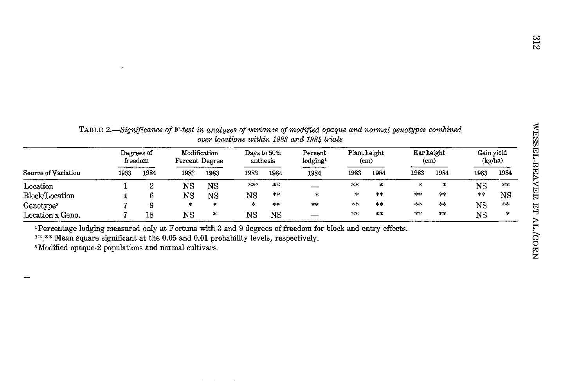|                       | . .                   |        |                                |        |                         |         | over locations within 1983 and 1984 trials |                      |               |                                 |          |                       |        |
|-----------------------|-----------------------|--------|--------------------------------|--------|-------------------------|---------|--------------------------------------------|----------------------|---------------|---------------------------------|----------|-----------------------|--------|
|                       | Degrees of<br>freedom |        | Modification<br>Percent Degree |        | Days to 50%<br>anthesis |         | Percent<br>lodging <sup>1</sup>            | Plant height<br>(cm) |               | Ear height<br>(c <sub>m</sub> ) |          | Gain vield<br>(kg/ha) |        |
| Source of Variation   | 1983                  | 1984   | 1983                           | 1983   | 1983                    | 1984    | 1984                                       | 1983                 | 1984          | 1983                            | 1984     | 1983                  | 1984   |
| Location              |                       | ∘<br>▵ | NS                             | NS     | $***2$                  | 小冰      |                                            | $**$                 | $\mathcal{N}$ | Ħ.                              | *        | NS                    | 来味     |
| Block/Location        |                       |        | NS                             | NS     | NS                      | $\star$ | 咏                                          | *                    | $**$          | 米米                              | $**$     | $\gg 10$              | NS     |
| Genotype <sup>3</sup> |                       | 9      | 冰                              | ∗      | sk:                     | $**$    | **                                         | $\infty$             | $**$          | $**$                            | $\pm\pm$ | NS                    | 米米     |
| Location x Geno.      |                       | 18     | NS                             | $\ast$ | ΝS                      | NS      |                                            | $+ +$                | **            | $\pm \infty$                    | **       | $_{\rm NS}$           | $\ast$ |

TABLE *2.-Significance ofF-test in analyses of variance of modified opaque and normal genotypes combined* 

<sup>1</sup>Percentage lodging measured only at Fortuna with 3 and 9 degrees of freedom for block and entry effects.

 $2^*$ , \*\* Mean square significant at the 0.05 and 0.01 probability levels, respectively. 3 Modified opaque-2 populations and normal cultivars.

 $\mathcal{P}$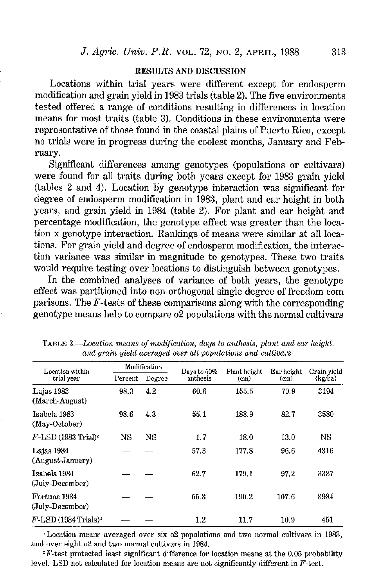#### RESULTS AND DISCUSSION

Locations within trial years were different except for endosperm modification and grain yield in 1983 trials (table 2). The five environments tested offered a range of conditions resulting in differences in location means for most traits (table 3). Conditions in these environments were representative of those found in the coastal plains of Puerto Rico, except no trials were in progress during the coolest months, January and February.

Significant differences among genotypes (populations or cultivars) were found for all traits during both years except for 1983 grain yield (tables 2 and 4). Location by genotype interaction was significant for degree of endosperm modification in 1983, plant and ear height in both years, and grain yield in 1984 (table 2). For plant and ear height and percentage modification, the genotype effect was greater than the location x genotype interaction. Rankings of means were similar at all locations. For grain yield and degree of endosperm modification, the interaction variance was similar in magnitude to genotypes. These two traits would require testing over locations to distinguish between genotypes.

In the combined analyses of variance of both years, the genotype effect was partitioned into non-orthogonal single degree of freedom com parisons. The F-tests of these comparisons along with the corresponding genotype means help to compare o2 populations with the normal cultivars

| Location within                     |         | Modification | Days to 50% | Plant height           | Ear height | Grain yield<br>(kg/ha) |  |
|-------------------------------------|---------|--------------|-------------|------------------------|------------|------------------------|--|
| trial year                          | Percent | Degree       | anthesis    | $\text{{\small (cm)}}$ | (cm)       |                        |  |
| Lajas 1983<br>(March-August)        | 98.3    | 4.2          | 60.6        | 155.5                  | 70.9       | 3194                   |  |
| Isabela 1983<br>(May-October)       | 98.6    | 4.3          | 55.1        | 188.9                  | 82.7       | 3530                   |  |
| $F$ -LSD (1983 Trial) <sup>2</sup>  | NS      | NS           | 1.7         | 18.0                   | 13.0       | NS                     |  |
| Lajas 1934<br>(August-January)      |         |              | 57.3        | 177.8                  | 96.6       | 4316                   |  |
| Isabela 1984<br>(July-December)     |         |              | 62.7        | 179 1                  | 97.2       | 3337                   |  |
| Fortuna 1984<br>(July-December)     |         |              | 55.3        | 190.2                  | 107.6      | 3984                   |  |
| $F$ -LSD (1984 Trials) <sup>2</sup> |         |              | $1.2\,$     | 11.7                   | 10.9       | 451                    |  |

TARLE *3.-Location means of modification, days to anthesis, plant and em· height,*  and grain yield averaged over all populations and cultivars<sup>1</sup>

<sup>1</sup>Location means averaged over six o2 populations and two normal cultivars in 1983, and over eight o2 and two normal cultivars in 1984.<br><sup>2</sup> F-test protected least significant difference for location means at the 0.05 probability

level. LSD not calculated for location means are not significantly different in F -test.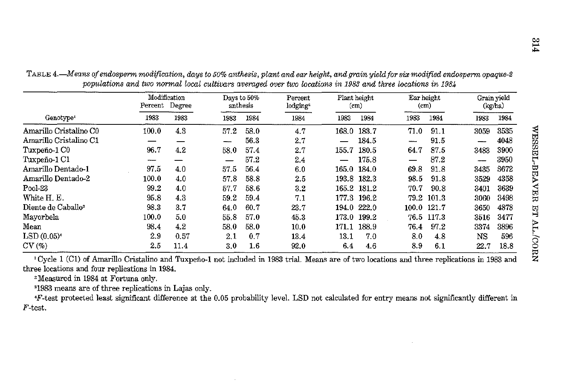|                                 | Modification<br>Percent Degree |      | anthesis | Days to 50%<br>Percent<br>lodging <sup>2</sup> |      | Plant height<br>(c <sub>m</sub> ) |             | Lar height<br>(c <sub>m</sub> ) |       | Grain yield<br>(kg/ha) |      |
|---------------------------------|--------------------------------|------|----------|------------------------------------------------|------|-----------------------------------|-------------|---------------------------------|-------|------------------------|------|
| Genotype <sup>1</sup>           | 1983                           | 1983 | 1983     | 1984                                           | 1984 | 1983                              | 1934        | 1983                            | 1984  | 1983                   | 1984 |
| Amarillo Cristalino C0          | 100.0                          | 4.3  | 57.2     | 58.0                                           | 4.7  | 168.0                             | 183.7       | 71.0                            | 91.1  | 3059                   | 3535 |
| Amarillo Cristalino C1          |                                |      |          | 56.3                                           | 2.7  |                                   | 184.5       |                                 | 91.5  |                        | 4048 |
| Tuxpeño-1 C0                    | 96.7                           | 4.2  | 58.0     | 57.4                                           | 2.7  | 155.7                             | 180.5       | 64.7                            | 87.5  | 3483                   | 3900 |
| Tuxpeño-1 C1                    |                                |      |          | 57.2                                           | 2.4  |                                   | 175.8       |                                 | 87.2  |                        | 3950 |
| Amarillo Dentado-1              | 97.5                           | 4.0  | 57.5     | 56.4                                           | 6.0  | 165.0                             | 184.0       | 69.8                            | 91.8  | 3435                   | 3672 |
| Amarillo Dentado-2              | 100.0                          | 4.0  | 57.8     | 58.8                                           | 2.5  |                                   | 193.8 182.3 | 98.5                            | 91.8  | 3529                   | 4358 |
| Pool-23                         | 99.2                           | 4.0  | 57.7     | 58.6                                           | 3.2  | 165.2                             | 181.2       | 70.7                            | 90.8  | 3401                   | 3639 |
| White H. E.                     | 95.8                           | 4.3  | 59.2     | 59.4                                           | 7.1  | 177.3                             | 196.2       | 79.2                            | 101.3 | 3060                   | 3498 |
| Diente de Caballo <sup>s</sup>  | 98.3                           | 3.7  | 64.0     | -60.7                                          | 23.7 | 194.0                             | 222.0       | 100.0                           | 121.7 | 3650                   | 4878 |
| Mavorbela                       | 100.0                          | 5.0  | 55.8     | 57.0                                           | 45.3 | 173.0                             | 199.2       | 76.5                            | 117.3 | 3516                   | 3477 |
| Mean                            | 98.4                           | 4.2  | 58.0     | 58.0                                           | 10.0 | 171.1                             | 188.9       | 76.4                            | 97.2  | 3374                   | 3896 |
| $\mathrm{LSD}\left(0.05\right)$ | 2.9                            | 0.57 | 2.1      | 0.7                                            | 13.4 | 13.1                              | 7.0         | 8.0                             | 4.8   | NS                     | 596  |
| CV(%)                           | 2.5                            | 11.4 | 3.0      | $1.6\phantom{0}$                               | 92.0 | 6.4                               | 4.6         | 8.9                             | 6.1   | 22.7                   | 18.8 |

TABLE *4.-Means of endosperm modification, days to 50% anthesis, plant and ear height, and grain yield for* six *modified endosperm* opaque-2 *populations and two normal local cultivars averaged over two locations in 1983 and three locations in 1984* 

<sup>1</sup>Cycle 1 (C1) of Amarillo Cristalino and Tuxpeño-1 not included in 1983 trial. Means are of two locations and three replications in 1983 and three locations and four replications in 1984.

 $t^2$  Measured in 1984 at Fortuna only.<br><sup>3</sup> 1983 means are of three replications in Lajas only.

F-test protected least significant difference at the 0.05 probability level. LSD not calculated for entry means not significantly different in F-test.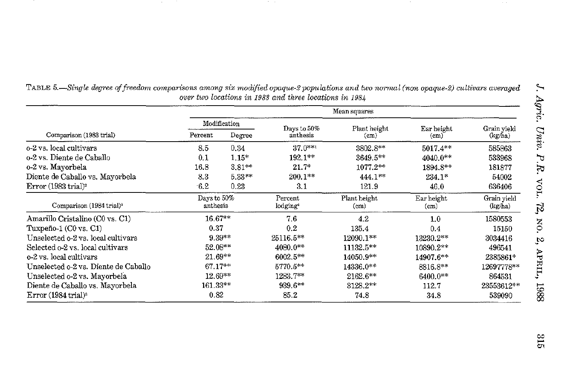|                                      |                         | Mean squares |                                 |                                   |                                 |                        |  |  |  |  |  |
|--------------------------------------|-------------------------|--------------|---------------------------------|-----------------------------------|---------------------------------|------------------------|--|--|--|--|--|
|                                      |                         | Modification | Days to 50%<br>anthesis         | Plant height                      | Ear height                      | Grain yield            |  |  |  |  |  |
| Comparison (1983 trial)              | Percent                 | Degree       |                                 | (c <sub>m</sub> )                 | (cm)                            | (kg/ha)                |  |  |  |  |  |
| o-2 vs. local cultivars              | 8.5                     | 0.34         | $37.0***$                       | $3802.8**$                        | $5017.4**$                      | 585863                 |  |  |  |  |  |
| o-2 vs. Diente de Caballo            | 0.1                     | $1.15*$      | $192.1**$                       | $3649.5***$                       | $4040.0**$                      | 533968                 |  |  |  |  |  |
| o-2 vs. Mayorbela                    | 16.8                    | $3.81**$     | $21.7*$                         | 1077.2**                          | 1894.8**                        | 181877                 |  |  |  |  |  |
| Diente de Caballo vs. Mayorbela      | 8.3                     | $5.33***$    | $200.1**$                       | $444.1***$                        | $234.1*$                        | 54002                  |  |  |  |  |  |
| Error (1983 trial) <sup>2</sup>      | 6.2                     | 0.23         | 3.1                             | 121.9                             | 46.0                            | 636406                 |  |  |  |  |  |
| Comparison (1984 trial) <sup>3</sup> | Days to 50%<br>anthesis |              | Percent<br>lodging <sup>4</sup> | Plant height<br>(c <sub>m</sub> ) | Ear height<br>(c <sub>m</sub> ) | Grain yield<br>(kg/ha) |  |  |  |  |  |
| Amarillo Cristalino (C0 vs. C1)      | $16.67**$               |              | 7.6                             | 4.2                               | 1.0                             | 1580553                |  |  |  |  |  |
| Tuxpeno-1 (C0 vs. C1)                | 0.37                    |              | 0.2                             | 135.4                             | 0.4                             | 15150                  |  |  |  |  |  |
| Unselected o-2 vs. local cultivars   | $9.39**$                |              | 25116.5**                       | 12090.1**                         | 13230.2**                       | 3034416                |  |  |  |  |  |
| Selected $o-2$ vs. local cultivars   | 52.08**                 |              | 4080.0**                        | 11132.5**                         | 10890.2**                       | 496541                 |  |  |  |  |  |
| o-2 vs. local cultivars              | $21.69**$               |              | $6002.5***$                     | 14050.9**                         | 14907.6**                       | 2385861*               |  |  |  |  |  |
| Unselected o-2 vs. Diente de Caballo | $67.17**$               |              | $5770.5**$                      | 14336.0**                         | 8816.8**                        | 12697778**             |  |  |  |  |  |
| Unselected o-2 vs. Mayorbela         | $12.69**$               |              | $1283.7**$                      | $2162.6**$                        | $6400.0**$                      | 864531                 |  |  |  |  |  |
| Diente de Caballo vs. Mayorbela      | $161.33**$              |              | $939.6**$                       | 3128.2**                          | 112.7                           | 23553612**             |  |  |  |  |  |
| Error (1984 trial) <sup>2</sup>      | 0.82                    |              | 85.2                            | 74.8                              | 34.3                            | 539090                 |  |  |  |  |  |

TABLE *5.-Single degree of freedom comparisons among six modified opaque-2 poJYUlations and two normal (non opaque-2) cultivars averaged over two locations in 1983 and three locations in 1984* 

~

 $\sim 10$ 

 $\widetilde{c}$  $\omega$   $U_3$  $\dot{uv}$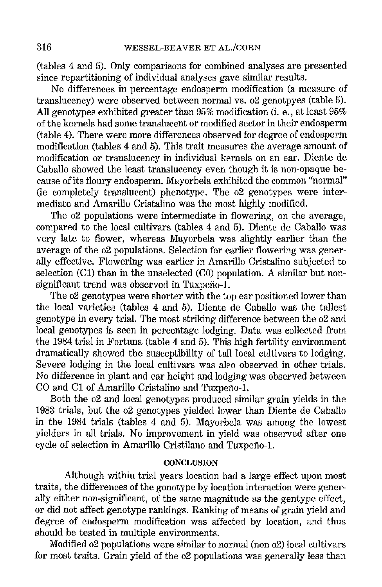(tables 4 and 5). Only comparisons for combined analyses are presented since repartitioning of individual analyses gave similar results.

No differences in percentage endosperm modification (a measure of translucency) were observed between normal vs. o2 genotpyes (table 5). All genotypes exhibited greater than 95% modification (i. e., at least 95% of the kernels had some translucent or modified sector in their endosperm (table 4). There were more differences observed for degree of endosperm modification (tables 4 and 5). This trait measures the average amount of modification or translucency in individual kernels on an ear. Diente de Caballo showed the least translucency even though it is non-opaque because of its floury endosperm. Mayorbela exhibited the common "normal" (ie completely translucent) phenotype. The o2 genotypes were intermediate and Amarillo Cristalino was the most highly modified.

The o2 populations were intermediate in flowering, on the average, compared to the local cultivars (tables 4 and 5). Diente de Caballo was very late to flower, whereas Mayorbela was slightly earlier than the average of the o2 populations. Selection for earlier flowering was generally effective. Flowering was earlier in Amarillo Cristalino subjected to selection (C1) than in the unselected (C0) population. A similar but nonsignificant trend was observed in Tuxpeño-1.

The o2 genotypes were shorter with the top ear positioned lower than the local varieties (tables 4 and 5). Diente de Caballo was the tallest genotype in every trial. The most striking difference between the o2 and local genotypes is seen in percentage lodging. Data was collected from the 1984 trial in Fortuna (table 4 and 5). This high fertility environment dramatically showed the susceptibility of tall local cultivars to lodging. Severe lodging in the local cultivars was also observed in other trials. No difference in plant and ear height and lodging was observed between CO and C1 of Amarillo Cristalino and Tuxpeño-1.

Both the 02 and local genotypes produced similar grain yields in the 1983 trials, but the o2 genotypes yielded lower than Diente de Caballo in the 1984 trials (tables 4 and 5). Mayorbela was among the lowest yielders in all trials. No improvement in yield was observed after one cycle of selection in Amarillo Cristilano and Tuxpeño-1.

# **CONCLUSION**

Although within trial years location had a large effect upon most traits, the differences of the gonotype by location interaction were generally either non-significant, of the same magnitude as the gentype effect, or did not affect genotype rankings. Ranking of means of grain yield and degree of endosperm modification was affected by location, and thus should be tested in multiple environments.

Modified o2 populations were similar to normal (non o2) local cultivars for most traits. Grain yield of the o2 populations was generally less than